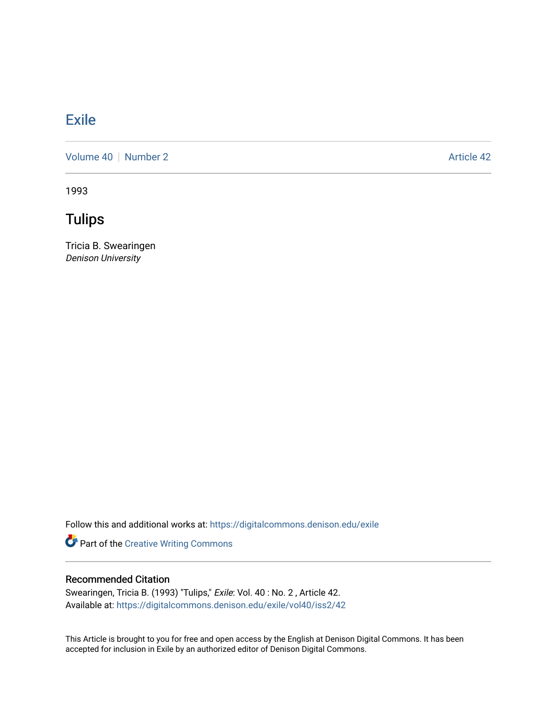## **[Exile](https://digitalcommons.denison.edu/exile)**

[Volume 40](https://digitalcommons.denison.edu/exile/vol40) [Number 2](https://digitalcommons.denison.edu/exile/vol40/iss2) Article 42

1993

**Tulips** 

Tricia B. Swearingen Denison University

Follow this and additional works at: [https://digitalcommons.denison.edu/exile](https://digitalcommons.denison.edu/exile?utm_source=digitalcommons.denison.edu%2Fexile%2Fvol40%2Fiss2%2F42&utm_medium=PDF&utm_campaign=PDFCoverPages) 

Part of the [Creative Writing Commons](http://network.bepress.com/hgg/discipline/574?utm_source=digitalcommons.denison.edu%2Fexile%2Fvol40%2Fiss2%2F42&utm_medium=PDF&utm_campaign=PDFCoverPages) 

## Recommended Citation

Swearingen, Tricia B. (1993) "Tulips," Exile: Vol. 40 : No. 2 , Article 42. Available at: [https://digitalcommons.denison.edu/exile/vol40/iss2/42](https://digitalcommons.denison.edu/exile/vol40/iss2/42?utm_source=digitalcommons.denison.edu%2Fexile%2Fvol40%2Fiss2%2F42&utm_medium=PDF&utm_campaign=PDFCoverPages)

This Article is brought to you for free and open access by the English at Denison Digital Commons. It has been accepted for inclusion in Exile by an authorized editor of Denison Digital Commons.